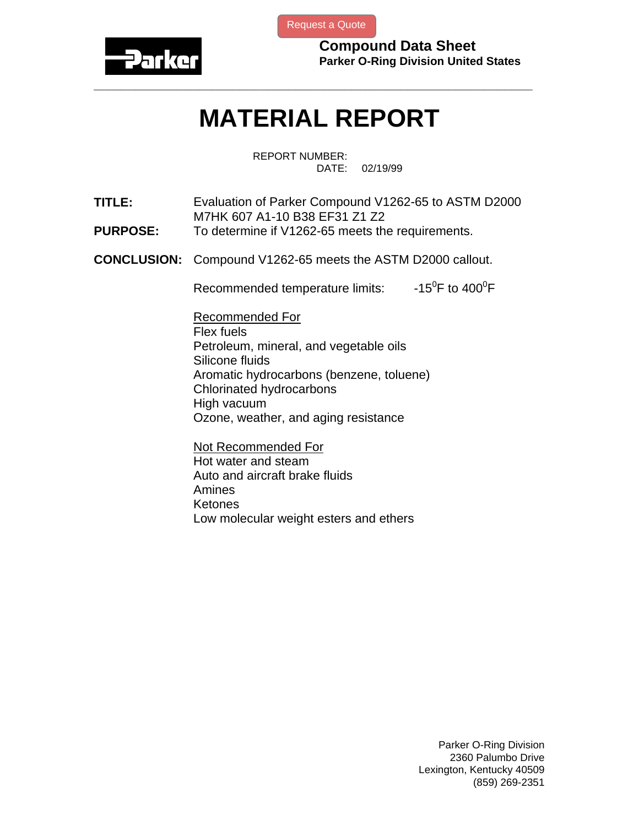

[Request a Quote](http://www.marcorubber.com/contact_quote.htm?material=Parker+V1262-65)

**Compound Data Sheet Parker O-Ring Division United States** 

## **MATERIAL REPORT**

**\_\_\_\_\_\_\_\_\_\_\_\_\_\_\_\_\_\_\_\_\_\_\_\_\_\_\_\_\_\_\_\_\_\_\_\_\_\_\_\_\_\_\_\_\_\_\_\_\_\_\_\_\_\_\_\_\_\_\_\_\_\_\_** 

REPORT NUMBER: DATE: 02/19/99

**TITLE:** Evaluation of Parker Compound V1262-65 to ASTM D2000 M7HK 607 A1-10 B38 EF31 Z1 Z2

- **PURPOSE:** To determine if V1262-65 meets the requirements.
- **CONCLUSION:** Compound V1262-65 meets the ASTM D2000 callout.

Recommended temperature limits: F to  $400^0$ F

Recommended For Flex fuels Petroleum, mineral, and vegetable oils Silicone fluids Aromatic hydrocarbons (benzene, toluene) Chlorinated hydrocarbons High vacuum Ozone, weather, and aging resistance

Not Recommended For Hot water and steam Auto and aircraft brake fluids Amines Ketones Low molecular weight esters and ethers

> Parker O-Ring Division 2360 Palumbo Drive Lexington, Kentucky 40509 (859) 269-2351